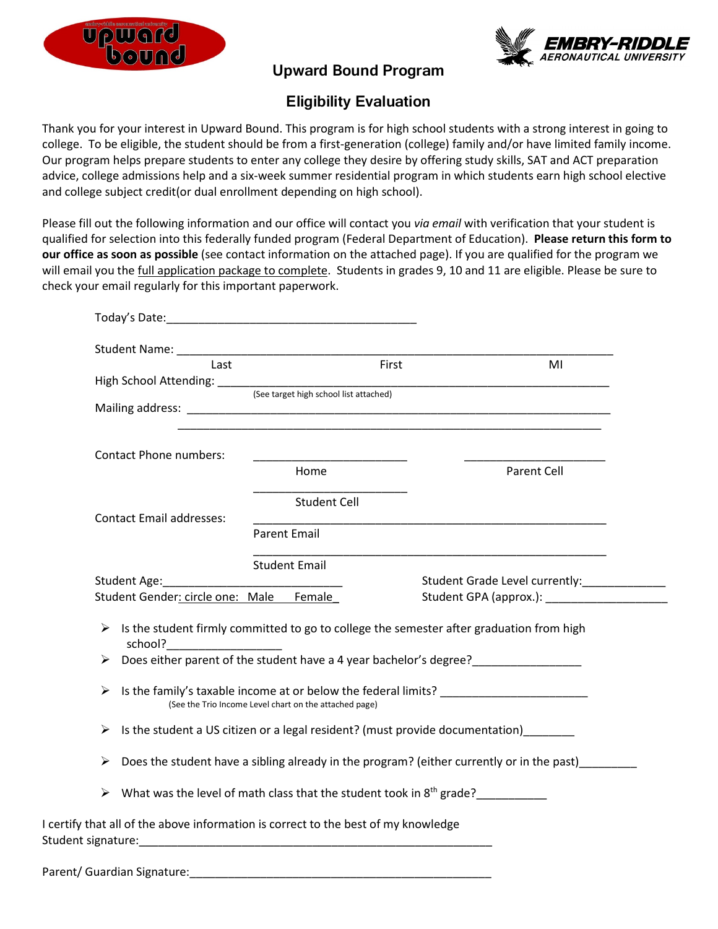



## **Upward Bound Program**

## **Eligibility Evaluation**

Thank you for your interest in Upward Bound. This program is for high school students with a strong interest in going to college. To be eligible, the student should be from a first-generation (college) family and/or have limited family income. Our program helps prepare students to enter any college they desire by offering study skills, SAT and ACT preparation advice, college admissions help and a six-week summer residential program in which students earn high school elective and college subject credit(or dual enrollment depending on high school).

Please fill out the following information and our office will contact you *via email* with verification that your student is qualified for selection into this federally funded program (Federal Department of Education). **Please return this form to our office as soon as possible** (see contact information on the attached page). If you are qualified for the program we will email you the full application package to complete. Students in grades 9, 10 and 11 are eligible. Please be sure to check your email regularly for this important paperwork.

| Last                                    | First                                                                                                      | MI                                           |
|-----------------------------------------|------------------------------------------------------------------------------------------------------------|----------------------------------------------|
|                                         |                                                                                                            |                                              |
|                                         |                                                                                                            |                                              |
|                                         | <u> 1989 - Johann Stoff, amerikansk politiker (d. 1989)</u>                                                |                                              |
| <b>Contact Phone numbers:</b>           |                                                                                                            |                                              |
|                                         | Home                                                                                                       | Parent Cell                                  |
|                                         | <b>Student Cell</b>                                                                                        |                                              |
| <b>Contact Email addresses:</b>         |                                                                                                            |                                              |
|                                         | <b>Parent Email</b>                                                                                        |                                              |
|                                         | <b>Student Email</b>                                                                                       |                                              |
|                                         |                                                                                                            | Student Grade Level currently:______________ |
| Student Gender: circle one: Male Female |                                                                                                            |                                              |
|                                         |                                                                                                            |                                              |
|                                         | $\triangleright$ Is the student firmly committed to go to college the semester after graduation from high  |                                              |
|                                         | > Does either parent of the student have a 4 year bachelor's degree?                                       |                                              |
|                                         | $\triangleright$ Is the family's taxable income at or below the federal limits?                            |                                              |
|                                         | (See the Trio Income Level chart on the attached page)                                                     |                                              |
|                                         | > Is the student a US citizen or a legal resident? (must provide documentation) ______                     |                                              |
|                                         | $\triangleright$ Does the student have a sibling already in the program? (either currently or in the past) |                                              |
|                                         | $\triangleright$ What was the level of math class that the student took in 8 <sup>th</sup> grade?          |                                              |
|                                         | I certify that all of the above information is correct to the best of my knowledge                         |                                              |